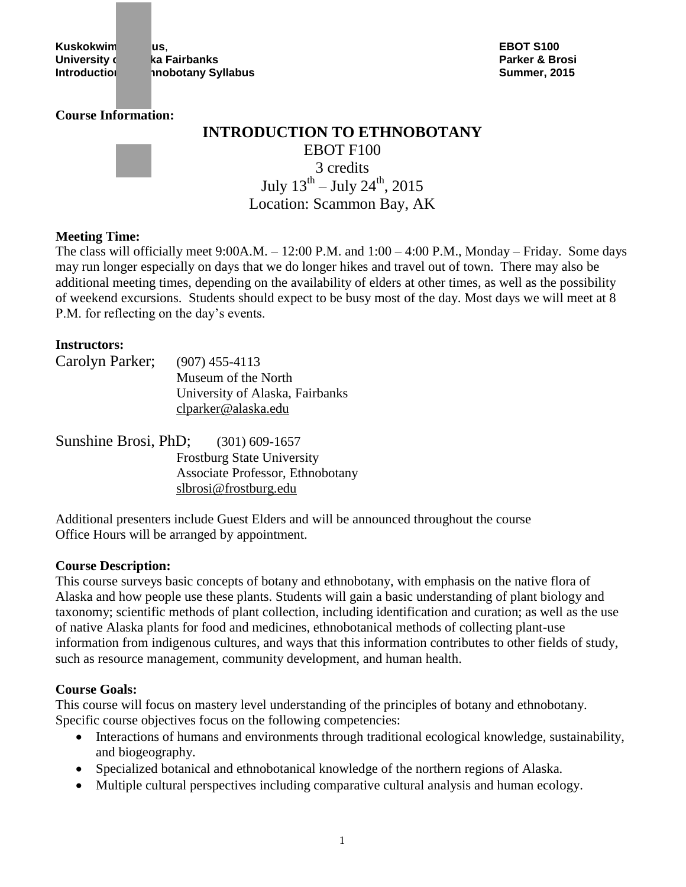**Kuskokwim Campus**, **EBOT S100 University charge of Alaska Fairbanks Parker & Brosi Introduction and inobotany Syllabus Contract Contract Contract Contract Contract Contract Contract Contract Contract Contract Contract Contract Contract Contract Contract Contract Contract Contract Contract Contract Con** 

#### **Course Information:**



# **INTRODUCTION TO ETHNOBOTANY** EBOT F100 3 credits July  $13^{\text{th}}$  – July  $24^{\text{th}}$ , 2015 Location: Scammon Bay, AK

### **Meeting Time:**

The class will officially meet 9:00A.M. – 12:00 P.M. and 1:00 – 4:00 P.M., Monday – Friday. Some days may run longer especially on days that we do longer hikes and travel out of town. There may also be additional meeting times, depending on the availability of elders at other times, as well as the possibility of weekend excursions. Students should expect to be busy most of the day. Most days we will meet at 8 P.M. for reflecting on the day's events.

### **Instructors:**

| Carolyn Parker; | $(907)$ 455-4113                |
|-----------------|---------------------------------|
|                 | Museum of the North             |
|                 | University of Alaska, Fairbanks |
|                 | clparker@alaska.edu             |

| Sunshine Brosi, PhD; $(301)$ 609-1657 |                                   |
|---------------------------------------|-----------------------------------|
|                                       | <b>Frostburg State University</b> |
|                                       | Associate Professor, Ethnobotany  |
|                                       | slbrosi@frostburg.edu             |

Additional presenters include Guest Elders and will be announced throughout the course Office Hours will be arranged by appointment.

#### **Course Description:**

This course surveys basic concepts of botany and ethnobotany, with emphasis on the native flora of Alaska and how people use these plants. Students will gain a basic understanding of plant biology and taxonomy; scientific methods of plant collection, including identification and curation; as well as the use of native Alaska plants for food and medicines, ethnobotanical methods of collecting plant-use information from indigenous cultures, and ways that this information contributes to other fields of study, such as resource management, community development, and human health.

### **Course Goals:**

This course will focus on mastery level understanding of the principles of botany and ethnobotany. Specific course objectives focus on the following competencies:

- Interactions of humans and environments through traditional ecological knowledge, sustainability, and biogeography.
- Specialized botanical and ethnobotanical knowledge of the northern regions of Alaska.
- Multiple cultural perspectives including comparative cultural analysis and human ecology.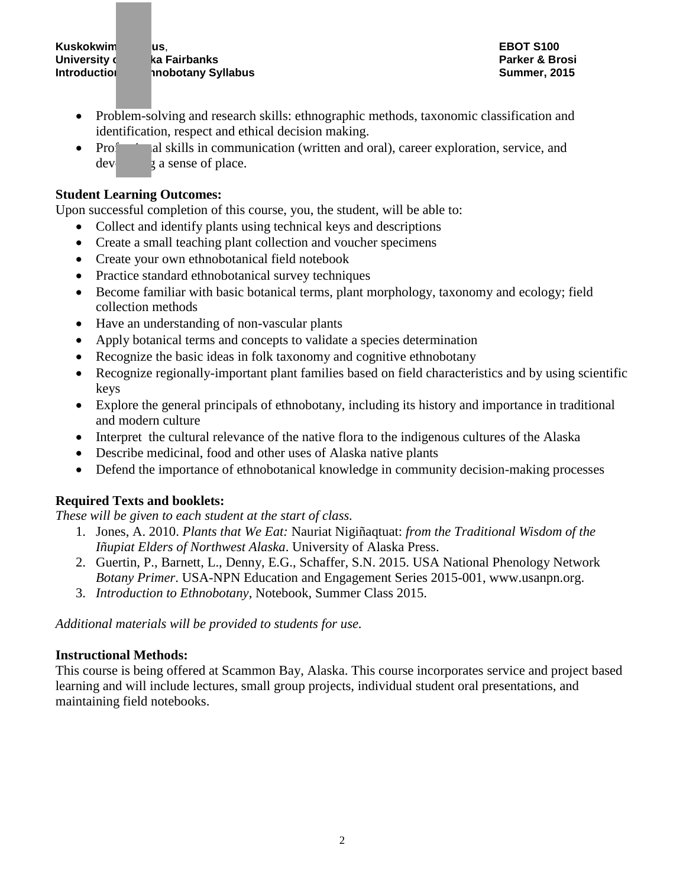**University charge of Alaska Fairbanks Parker & Brosi Introduction to the incontrary Syllabus Contrary Summer, 2015** 

- Problem-solving and research skills: ethnographic methods, taxonomic classification and identification, respect and ethical decision making.
- Professional skills in communication (written and oral), career exploration, service, and  $dev_2$  a sense of place.

## **Student Learning Outcomes:**

Upon successful completion of this course, you, the student, will be able to:

- Collect and identify plants using technical keys and descriptions
- Create a small teaching plant collection and voucher specimens
- Create your own ethnobotanical field notebook
- Practice standard ethnobotanical survey techniques
- Become familiar with basic botanical terms, plant morphology, taxonomy and ecology; field collection methods
- Have an understanding of non-vascular plants
- Apply botanical terms and concepts to validate a species determination
- Recognize the basic ideas in folk taxonomy and cognitive ethnobotany
- Recognize regionally-important plant families based on field characteristics and by using scientific keys
- Explore the general principals of ethnobotany, including its history and importance in traditional and modern culture
- Interpret the cultural relevance of the native flora to the indigenous cultures of the Alaska
- Describe medicinal, food and other uses of Alaska native plants
- Defend the importance of ethnobotanical knowledge in community decision-making processes

## **Required Texts and booklets:**

*These will be given to each student at the start of class.*

- 1. Jones, A. 2010. *Plants that We Eat:* Nauriat Nigiñaqtuat: *from the Traditional Wisdom of the Iñupiat Elders of Northwest Alaska*. University of Alaska Press.
- 2. Guertin, P., Barnett, L., Denny, E.G., Schaffer, S.N. 2015. USA National Phenology Network *Botany Primer*. USA-NPN Education and Engagement Series 2015-001, www.usanpn.org.
- 3. *Introduction to Ethnobotany*, Notebook, Summer Class 2015.

*Additional materials will be provided to students for use.*

## **Instructional Methods:**

This course is being offered at Scammon Bay, Alaska. This course incorporates service and project based learning and will include lectures, small group projects, individual student oral presentations, and maintaining field notebooks.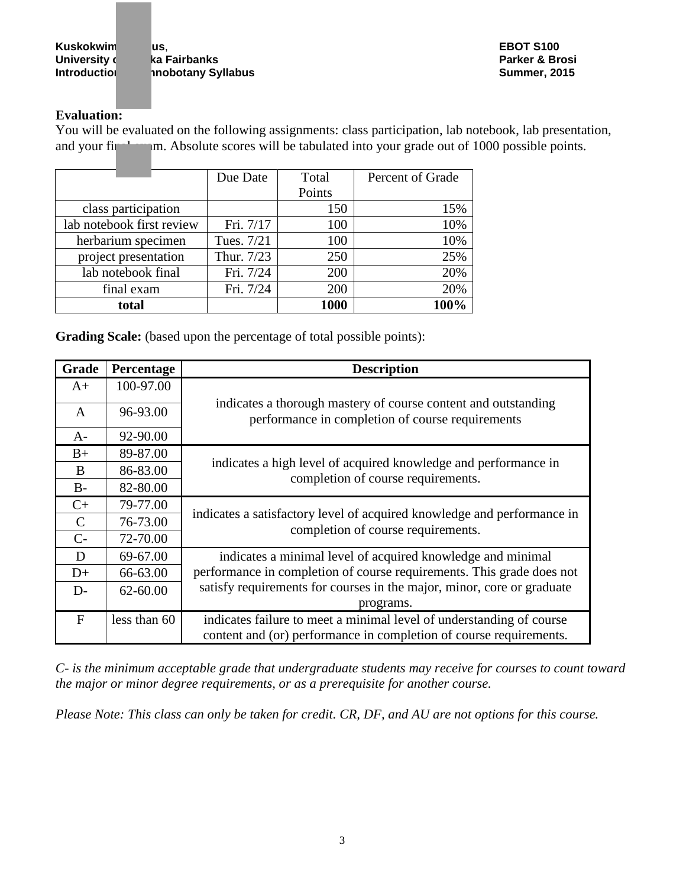**Kuskokwim Campus**, **EBOT S100 University can be a Fairbanks and Alaska Fairbanks and Alaska Fairbanks Parker & Brosi Introduction to the incontrary Syllabus Contrary Summer, 2015** 

## **Evaluation:**

You will be evaluated on the following assignments: class participation, lab notebook, lab presentation, and your final exam. Absolute scores will be tabulated into your grade out of 1000 possible points.

|                           | Due Date   | Total  | Percent of Grade |
|---------------------------|------------|--------|------------------|
|                           |            | Points |                  |
| class participation       |            | 150    | 15%              |
| lab notebook first review | Fri. 7/17  | 100    | 10%              |
| herbarium specimen        | Tues. 7/21 | 100    | 10%              |
| project presentation      | Thur. 7/23 | 250    | 25%              |
| lab notebook final        | Fri. 7/24  | 200    | 20%              |
| final exam                | Fri. 7/24  | 200    | 20%              |
| total                     |            | 1000   | 100%             |

**Grading Scale:** (based upon the percentage of total possible points):

| Grade     | Percentage   | <b>Description</b>                                                                                                                         |  |
|-----------|--------------|--------------------------------------------------------------------------------------------------------------------------------------------|--|
| $A+$      | 100-97.00    |                                                                                                                                            |  |
| A         | 96-93.00     | indicates a thorough mastery of course content and outstanding<br>performance in completion of course requirements                         |  |
| $A-$      | 92-90.00     |                                                                                                                                            |  |
| $B+$      | 89-87.00     |                                                                                                                                            |  |
| B         | 86-83.00     | indicates a high level of acquired knowledge and performance in<br>completion of course requirements.                                      |  |
| $B-$      | 82-80.00     |                                                                                                                                            |  |
| $C+$      | 79-77.00     |                                                                                                                                            |  |
| C         | 76-73.00     | indicates a satisfactory level of acquired knowledge and performance in                                                                    |  |
| $C-$      | 72-70.00     | completion of course requirements.                                                                                                         |  |
| D         | 69-67.00     | indicates a minimal level of acquired knowledge and minimal                                                                                |  |
| $D+$      | 66-63.00     | performance in completion of course requirements. This grade does not                                                                      |  |
| $D-$      | 62-60.00     | satisfy requirements for courses in the major, minor, core or graduate                                                                     |  |
|           |              | programs.                                                                                                                                  |  |
| $F_{\rm}$ | less than 60 | indicates failure to meet a minimal level of understanding of course<br>content and (or) performance in completion of course requirements. |  |

*C- is the minimum acceptable grade that undergraduate students may receive for courses to count toward the major or minor degree requirements, or as a prerequisite for another course.*

*Please Note: This class can only be taken for credit. CR, DF, and AU are not options for this course.*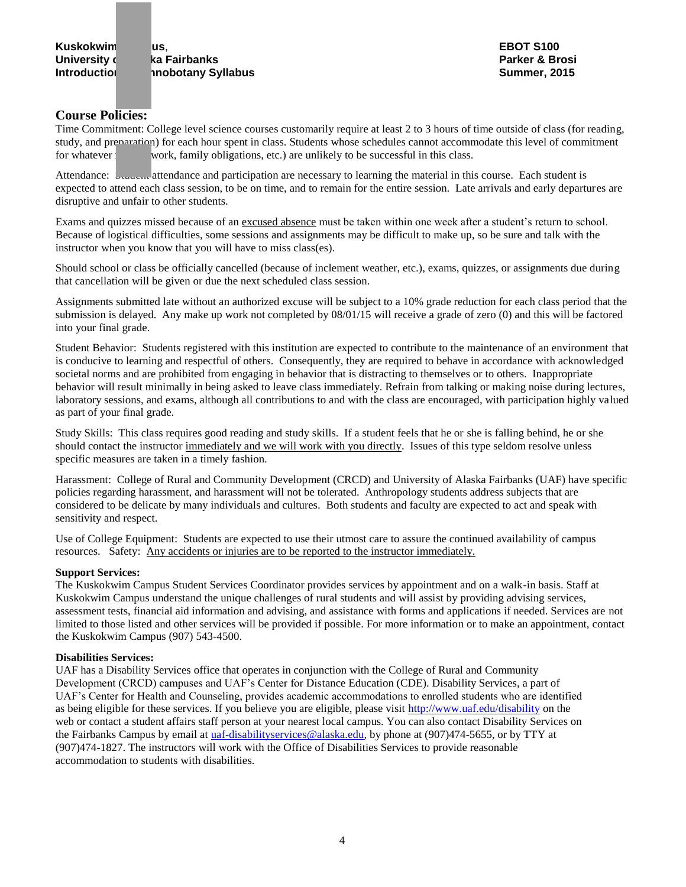**University charges and Alaska Fairbanks Parker & Brosi Introduction to the industry Syllabus Contract Contract Contract Contract Contract Contract Contract Contract Contract Contract Contract Contract Contract Contract Contract Contract Contract Contract Contract Contract C** 

#### **Course Policies:**

Time Commitment: College level science courses customarily require at least 2 to 3 hours of time outside of class (for reading, study, and preparation) for each hour spent in class. Students whose schedules cannot accommodate this level of commitment for whatever work, family obligations, etc.) are unlikely to be successful in this class.

Attendance: Student attendance and participation are necessary to learning the material in this course. Each student is expected to attend each class session, to be on time, and to remain for the entire session. Late arrivals and early departures are disruptive and unfair to other students.

Exams and quizzes missed because of an excused absence must be taken within one week after a student's return to school. Because of logistical difficulties, some sessions and assignments may be difficult to make up, so be sure and talk with the instructor when you know that you will have to miss class(es).

Should school or class be officially cancelled (because of inclement weather, etc.), exams, quizzes, or assignments due during that cancellation will be given or due the next scheduled class session.

Assignments submitted late without an authorized excuse will be subject to a 10% grade reduction for each class period that the submission is delayed. Any make up work not completed by 08/01/15 will receive a grade of zero (0) and this will be factored into your final grade.

Student Behavior: Students registered with this institution are expected to contribute to the maintenance of an environment that is conducive to learning and respectful of others. Consequently, they are required to behave in accordance with acknowledged societal norms and are prohibited from engaging in behavior that is distracting to themselves or to others. Inappropriate behavior will result minimally in being asked to leave class immediately. Refrain from talking or making noise during lectures, laboratory sessions, and exams, although all contributions to and with the class are encouraged, with participation highly valued as part of your final grade.

Study Skills: This class requires good reading and study skills. If a student feels that he or she is falling behind, he or she should contact the instructor immediately and we will work with you directly. Issues of this type seldom resolve unless specific measures are taken in a timely fashion.

Harassment: College of Rural and Community Development (CRCD) and University of Alaska Fairbanks (UAF) have specific policies regarding harassment, and harassment will not be tolerated. Anthropology students address subjects that are considered to be delicate by many individuals and cultures. Both students and faculty are expected to act and speak with sensitivity and respect.

Use of College Equipment: Students are expected to use their utmost care to assure the continued availability of campus resources. Safety: Any accidents or injuries are to be reported to the instructor immediately.

#### **Support Services:**

The Kuskokwim Campus Student Services Coordinator provides services by appointment and on a walk-in basis. Staff at Kuskokwim Campus understand the unique challenges of rural students and will assist by providing advising services, assessment tests, financial aid information and advising, and assistance with forms and applications if needed. Services are not limited to those listed and other services will be provided if possible. For more information or to make an appointment, contact the Kuskokwim Campus (907) 543-4500.

#### **Disabilities Services:**

UAF has a Disability Services office that operates in conjunction with the College of Rural and Community Development (CRCD) campuses and UAF's Center for Distance Education (CDE). Disability Services, a part of UAF's Center for Health and Counseling, provides academic accommodations to enrolled students who are identified as being eligible for these services. If you believe you are eligible, please visit<http://www.uaf.edu/disability> on the web or contact a student affairs staff person at your nearest local campus. You can also contact Disability Services on the Fairbanks Campus by email at [uaf-disabilityservices@alaska.edu,](mailto:uaf-disabilityservices@alaska.edu) by phone at (907)474-5655, or by TTY at (907)474-1827. The instructors will work with the Office of Disabilities Services to provide reasonable accommodation to students with disabilities.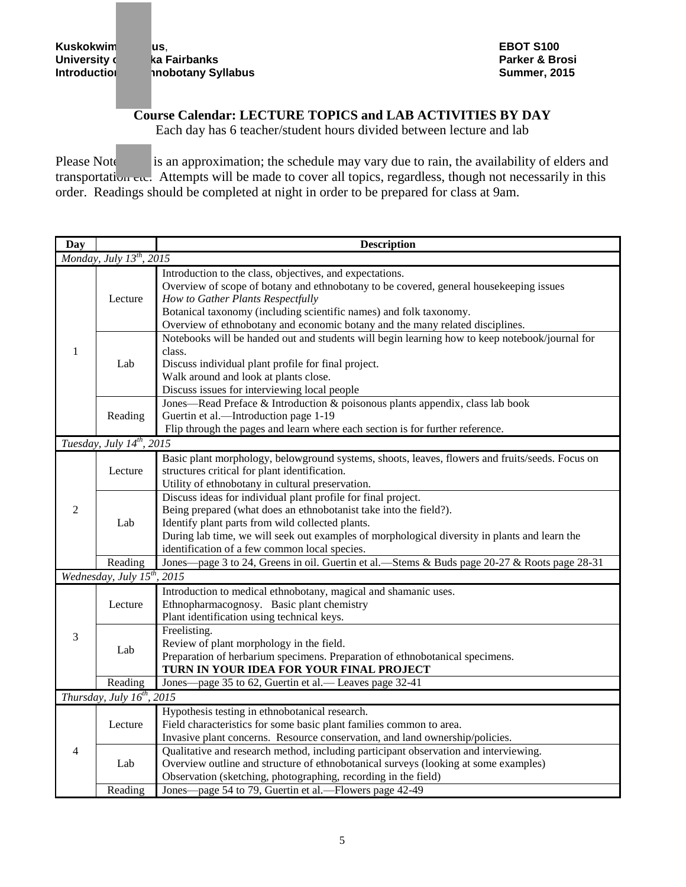**Kuskokwim Campus**, **EBOT S100** University **of Malaska Fairbanks** Parker & Brosil Introduction and Alaska Introduction and Alaska Parker & Brosi<br>Parker & Brosil Introduction and Alaska Parker & Development Alaska Introduction and Alaska Parker & Brosil I **Introduction to Ethnobotany Syllabus Summer, 2015**

# **Course Calendar: LECTURE TOPICS and LAB ACTIVITIES BY DAY**

Each day has 6 teacher/student hours divided between lecture and lab

Please Note: This is an approximation; the schedule may vary due to rain, the availability of elders and transportation etc. Attempts will be made to cover all topics, regardless, though not necessarily in this order. Readings should be completed at night in order to be prepared for class at 9am.

| Day                             |                                         | <b>Description</b>                                                                                                                                                                                                                                                                                                                              |  |  |  |
|---------------------------------|-----------------------------------------|-------------------------------------------------------------------------------------------------------------------------------------------------------------------------------------------------------------------------------------------------------------------------------------------------------------------------------------------------|--|--|--|
|                                 | Monday, July 13 <sup>th</sup> , 2015    |                                                                                                                                                                                                                                                                                                                                                 |  |  |  |
| 1                               | Lecture                                 | Introduction to the class, objectives, and expectations.<br>Overview of scope of botany and ethnobotany to be covered, general house keeping issues<br>How to Gather Plants Respectfully<br>Botanical taxonomy (including scientific names) and folk taxonomy.<br>Overview of ethnobotany and economic botany and the many related disciplines. |  |  |  |
|                                 | Lab                                     | Notebooks will be handed out and students will begin learning how to keep notebook/journal for<br>class.<br>Discuss individual plant profile for final project.<br>Walk around and look at plants close.<br>Discuss issues for interviewing local people                                                                                        |  |  |  |
|                                 | Reading                                 | Jones—Read Preface & Introduction & poisonous plants appendix, class lab book<br>Guertin et al.-Introduction page 1-19<br>Flip through the pages and learn where each section is for further reference.                                                                                                                                         |  |  |  |
|                                 | Tuesday, July $14^{th}$ , 2015          |                                                                                                                                                                                                                                                                                                                                                 |  |  |  |
| 2                               | Lecture                                 | Basic plant morphology, belowground systems, shoots, leaves, flowers and fruits/seeds. Focus on<br>structures critical for plant identification.<br>Utility of ethnobotany in cultural preservation.                                                                                                                                            |  |  |  |
|                                 | Lab                                     | Discuss ideas for individual plant profile for final project.<br>Being prepared (what does an ethnobotanist take into the field?).<br>Identify plant parts from wild collected plants.<br>During lab time, we will seek out examples of morphological diversity in plants and learn the<br>identification of a few common local species.        |  |  |  |
|                                 | Reading                                 | Jones—page 3 to 24, Greens in oil. Guertin et al.—Stems & Buds page 20-27 & Roots page 28-31                                                                                                                                                                                                                                                    |  |  |  |
|                                 | Wednesday, July 15 <sup>th</sup> , 2015 |                                                                                                                                                                                                                                                                                                                                                 |  |  |  |
|                                 | Lecture                                 | Introduction to medical ethnobotany, magical and shamanic uses.<br>Ethnopharmacognosy. Basic plant chemistry<br>Plant identification using technical keys.                                                                                                                                                                                      |  |  |  |
| 3                               | Lab                                     | Freelisting.<br>Review of plant morphology in the field.<br>Preparation of herbarium specimens. Preparation of ethnobotanical specimens.<br>TURN IN YOUR IDEA FOR YOUR FINAL PROJECT                                                                                                                                                            |  |  |  |
|                                 | Reading                                 | Jones—page 35 to 62, Guertin et al.— Leaves page 32-41                                                                                                                                                                                                                                                                                          |  |  |  |
| Thursday, July $16^{th}$ , 2015 |                                         |                                                                                                                                                                                                                                                                                                                                                 |  |  |  |
| 4                               | Lecture                                 | Hypothesis testing in ethnobotanical research.<br>Field characteristics for some basic plant families common to area.<br>Invasive plant concerns. Resource conservation, and land ownership/policies.                                                                                                                                           |  |  |  |
|                                 | Lab                                     | Qualitative and research method, including participant observation and interviewing.<br>Overview outline and structure of ethnobotanical surveys (looking at some examples)<br>Observation (sketching, photographing, recording in the field)                                                                                                   |  |  |  |
|                                 | Reading                                 | Jones—page 54 to 79, Guertin et al.—Flowers page 42-49                                                                                                                                                                                                                                                                                          |  |  |  |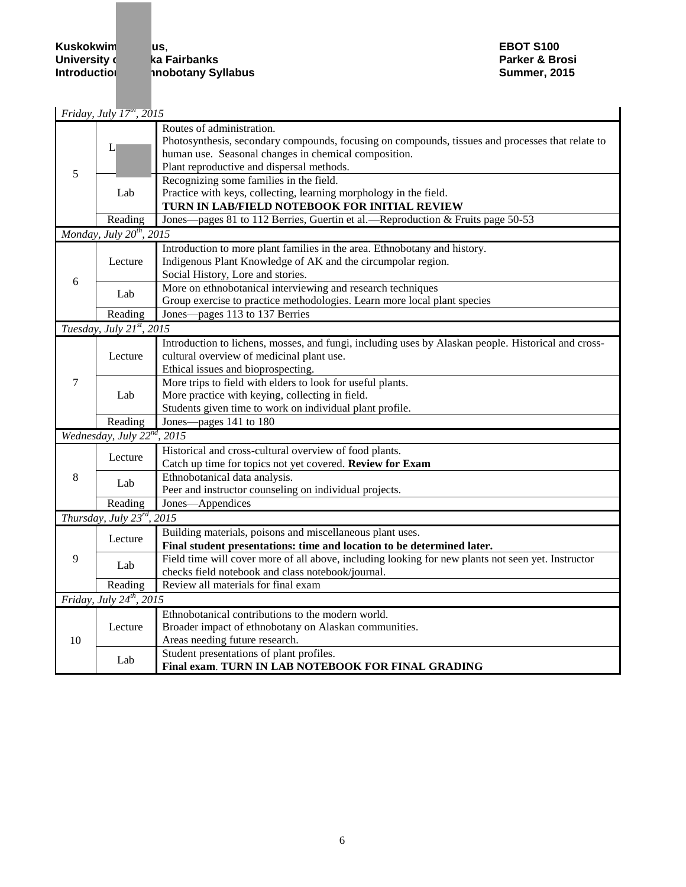**Kuskokwim us, use the set of the set of the State Campus Construction Campus Campus Campus Campus Campus Campus<br>
Campus Campus Campus Campus Campus Campus Campus Campus Campus Campus Campus Campus Campus Campus Campus Cam** University **of Alaska Fairbanks** Parker & Brosi<br>
1991 - Introduction Parker & Brosi<br>
1991 - Summer, 2015 **Inobotany Syllabus** 

|    | Friday, July $\overline{17}^m$ , 2015      |                                                                                                                                                                                                                                                                               |
|----|--------------------------------------------|-------------------------------------------------------------------------------------------------------------------------------------------------------------------------------------------------------------------------------------------------------------------------------|
| 5  | L                                          | Routes of administration.<br>Photosynthesis, secondary compounds, focusing on compounds, tissues and processes that relate to<br>human use. Seasonal changes in chemical composition.<br>Plant reproductive and dispersal methods.<br>Recognizing some families in the field. |
|    | Lab                                        | Practice with keys, collecting, learning morphology in the field.<br>TURN IN LAB/FIELD NOTEBOOK FOR INITIAL REVIEW                                                                                                                                                            |
|    | Reading                                    | Jones—pages 81 to 112 Berries, Guertin et al.—Reproduction & Fruits page 50-53                                                                                                                                                                                                |
|    | Monday, July $20^{th}$ , 2015              |                                                                                                                                                                                                                                                                               |
| 6  | Lecture                                    | Introduction to more plant families in the area. Ethnobotany and history.<br>Indigenous Plant Knowledge of AK and the circumpolar region.<br>Social History, Lore and stories.                                                                                                |
|    | Lab                                        | More on ethnobotanical interviewing and research techniques                                                                                                                                                                                                                   |
|    |                                            | Group exercise to practice methodologies. Learn more local plant species                                                                                                                                                                                                      |
|    | Reading                                    | Jones—pages 113 to 137 Berries                                                                                                                                                                                                                                                |
|    | Tuesday, July 21st, 2015                   |                                                                                                                                                                                                                                                                               |
| 7  | Lecture                                    | Introduction to lichens, mosses, and fungi, including uses by Alaskan people. Historical and cross-<br>cultural overview of medicinal plant use.<br>Ethical issues and bioprospecting.                                                                                        |
|    | Lab                                        | More trips to field with elders to look for useful plants.<br>More practice with keying, collecting in field.<br>Students given time to work on individual plant profile.                                                                                                     |
|    | Reading                                    | Jones—pages 141 to 180                                                                                                                                                                                                                                                        |
|    | Wednesday, July 22 <sup>nd</sup> , 2015    |                                                                                                                                                                                                                                                                               |
|    | Lecture                                    | Historical and cross-cultural overview of food plants.<br>Catch up time for topics not yet covered. Review for Exam                                                                                                                                                           |
| 8  | Lab                                        | Ethnobotanical data analysis.                                                                                                                                                                                                                                                 |
|    |                                            | Peer and instructor counseling on individual projects.                                                                                                                                                                                                                        |
|    | Reading<br>Thursday, July $23^{rd}$ , 2015 | Jones-Appendices                                                                                                                                                                                                                                                              |
|    |                                            |                                                                                                                                                                                                                                                                               |
| 9  | Lecture                                    | Building materials, poisons and miscellaneous plant uses.<br>Final student presentations: time and location to be determined later.                                                                                                                                           |
|    | Lab                                        | Field time will cover more of all above, including looking for new plants not seen yet. Instructor<br>checks field notebook and class notebook/journal.                                                                                                                       |
|    | Reading                                    | Review all materials for final exam                                                                                                                                                                                                                                           |
|    | Friday, July $24^{th}$ , 2015              |                                                                                                                                                                                                                                                                               |
| 10 | Lecture                                    | Ethnobotanical contributions to the modern world.<br>Broader impact of ethnobotany on Alaskan communities.<br>Areas needing future research.                                                                                                                                  |
|    | Lab                                        | Student presentations of plant profiles.<br>Final exam. TURN IN LAB NOTEBOOK FOR FINAL GRADING                                                                                                                                                                                |